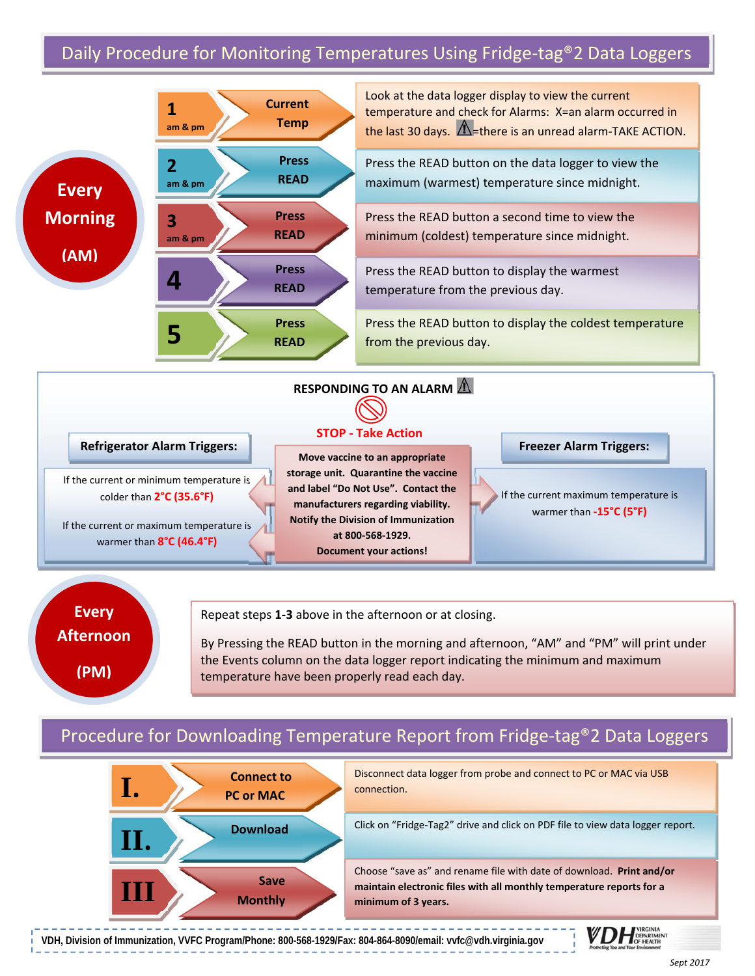# Daily Procedure for Monitoring Temperatures Using Fridge-tag®2 Data Loggers





Repeat steps **1‐3** above in the afternoon or at closing.

By Pressing the READ button in the morning and afternoon, "AM" and "PM" will print under the Events column on the data logger report indicating the minimum and maximum temperature have been properly read each day.

## Procedure for Downloading Temperature Report from Fridge‐tag®2 Data Loggers



**VDH, Division of Immunization, VVFC Program/Phone: 800-568-1929/Fax: 804-864-8090/email: vvfc@vdh.virginia.gov** 

**1200 and Your Environment**